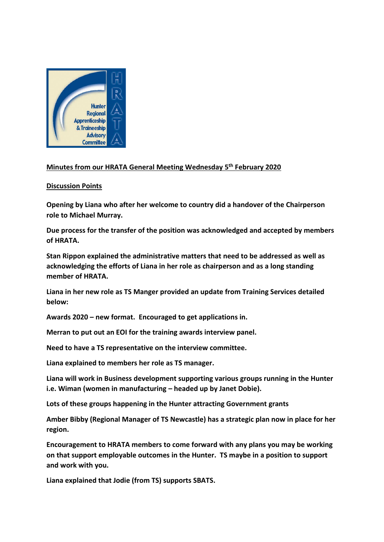

## **Minutes from our HRATA General Meeting Wednesday 5 th February 2020**

## **Discussion Points**

**Opening by Liana who after her welcome to country did a handover of the Chairperson role to Michael Murray.**

**Due process for the transfer of the position was acknowledged and accepted by members of HRATA.**

**Stan Rippon explained the administrative matters that need to be addressed as well as acknowledging the efforts of Liana in her role as chairperson and as a long standing member of HRATA.**

**Liana in her new role as TS Manger provided an update from Training Services detailed below:**

**Awards 2020 – new format. Encouraged to get applications in.**

**Merran to put out an EOI for the training awards interview panel.**

**Need to have a TS representative on the interview committee.**

**Liana explained to members her role as TS manager.**

**Liana will work in Business development supporting various groups running in the Hunter i.e. Wiman (women in manufacturing – headed up by Janet Dobie).**

**Lots of these groups happening in the Hunter attracting Government grants**

**Amber Bibby (Regional Manager of TS Newcastle) has a strategic plan now in place for her region.**

**Encouragement to HRATA members to come forward with any plans you may be working on that support employable outcomes in the Hunter. TS maybe in a position to support and work with you.**

**Liana explained that Jodie (from TS) supports SBATS.**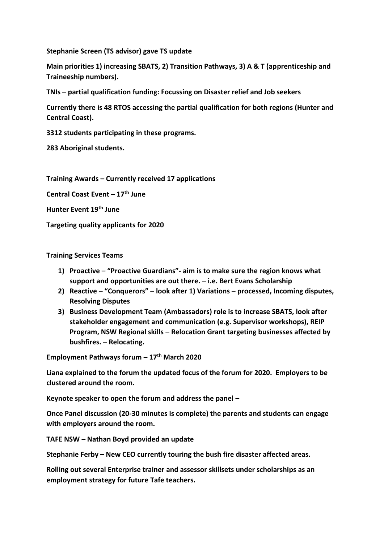**Stephanie Screen (TS advisor) gave TS update** 

**Main priorities 1) increasing SBATS, 2) Transition Pathways, 3) A & T (apprenticeship and Traineeship numbers).**

**TNIs – partial qualification funding: Focussing on Disaster relief and Job seekers**

**Currently there is 48 RTOS accessing the partial qualification for both regions (Hunter and Central Coast).**

**3312 students participating in these programs.**

**283 Aboriginal students.**

**Training Awards – Currently received 17 applications** 

**Central Coast Event – 17th June**

**Hunter Event 19th June**

**Targeting quality applicants for 2020** 

**Training Services Teams**

- **1) Proactive – "Proactive Guardians"- aim is to make sure the region knows what support and opportunities are out there. – i.e. Bert Evans Scholarship**
- **2) Reactive – "Conquerors" – look after 1) Variations – processed, Incoming disputes, Resolving Disputes**
- **3) Business Development Team (Ambassadors) role is to increase SBATS, look after stakeholder engagement and communication (e.g. Supervisor workshops), REIP Program, NSW Regional skills – Relocation Grant targeting businesses affected by bushfires. – Relocating.**

**Employment Pathways forum – 17th March 2020**

**Liana explained to the forum the updated focus of the forum for 2020. Employers to be clustered around the room.**

**Keynote speaker to open the forum and address the panel –**

**Once Panel discussion (20-30 minutes is complete) the parents and students can engage with employers around the room.**

**TAFE NSW – Nathan Boyd provided an update**

**Stephanie Ferby – New CEO currently touring the bush fire disaster affected areas.**

**Rolling out several Enterprise trainer and assessor skillsets under scholarships as an employment strategy for future Tafe teachers.**